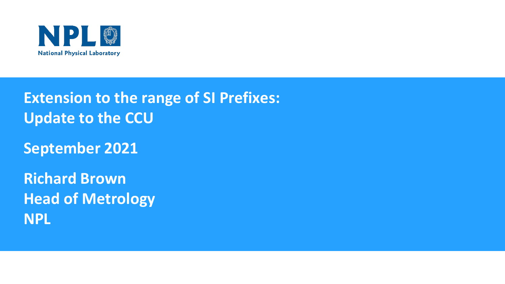

**Extension to the range of SI Prefixes: Update to the CCU**

**September 2021**

**Richard Brown Head of Metrology NPL**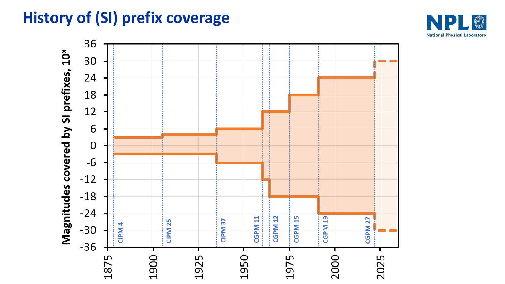# **History of (SI) prefix coverage**



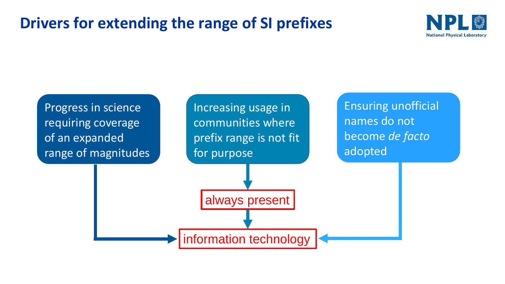## **Drivers for extending the range of SI prefixes**



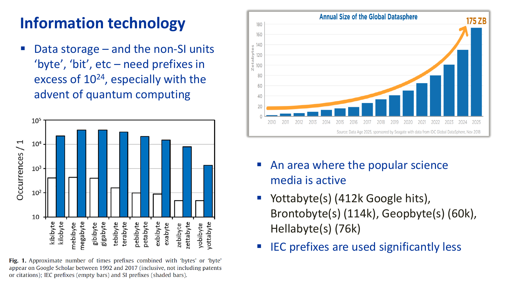# **Information technology**

Data storage – and the non-SI units 'byte', 'bit', etc – need prefixes in excess of 10<sup>24</sup>, especially with the advent of quantum computing



Fig. 1. Approximate number of times prefixes combined with 'bytes' or 'byte' appear on Google Scholar between 1992 and 2017 (inclusive, not including patents or citations); IEC prefixes (empty bars) and SI prefixes (shaded bars).



- An area where the popular science media is active
- Yottabyte(s) (412k Google hits), Brontobyte(s) (114k), Geopbyte(s) (60k), Hellabyte(s) (76k)
- **IEC prefixes are used significantly less**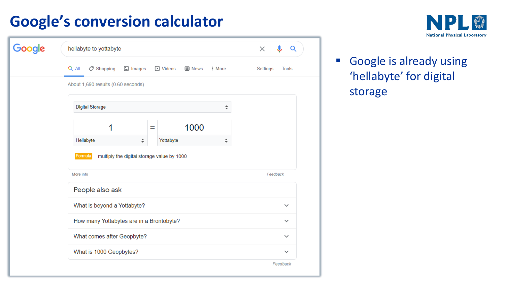# **Google's conversion calculator**

| Google | hellabyte to yottabyte                                                              | ×<br>Q                   |
|--------|-------------------------------------------------------------------------------------|--------------------------|
|        | $Q$ All<br>Shopping<br>D Videos<br>♡<br>$\square$ Images<br><b>国 News</b><br>: More | Settings<br><b>Tools</b> |
|        | About 1,690 results (0.60 seconds)                                                  |                          |
|        | <b>Digital Storage</b><br>$\hat{\div}$                                              |                          |
|        | 1000<br>1<br>Ξ                                                                      |                          |
|        | Hellabyte<br>Yottabyte<br>$\hat{\div}$<br>÷                                         |                          |
|        | Formula<br>multiply the digital storage value by 1000                               |                          |
|        | More info                                                                           | Feedback                 |
|        | People also ask                                                                     |                          |
|        | What is beyond a Yottabyte?                                                         | $\checkmark$             |
|        | How many Yottabytes are in a Brontobyte?                                            | $\checkmark$             |
|        | What comes after Geopbyte?                                                          |                          |
|        | What is 1000 Geopbytes?                                                             | $\checkmark$             |
|        |                                                                                     | Feedback                 |



**Example is already using** 'hellabyte' for digital storage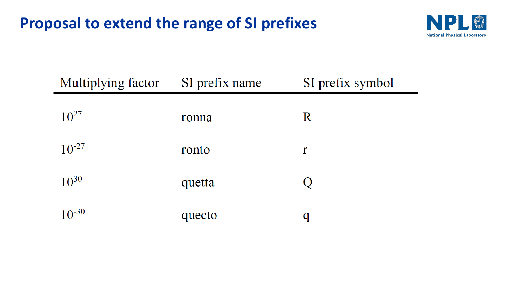### **Proposal to extend the range of SI prefixes**



| Multiplying factor | SI prefix name | SI prefix symbol |
|--------------------|----------------|------------------|
| $10^{27}$          | ronna          | $\rm R$          |
| $10^{-27}$         | ronto          | r                |
| $10^{30}$          | quetta         |                  |
| $10^{-30}$         | quecto         |                  |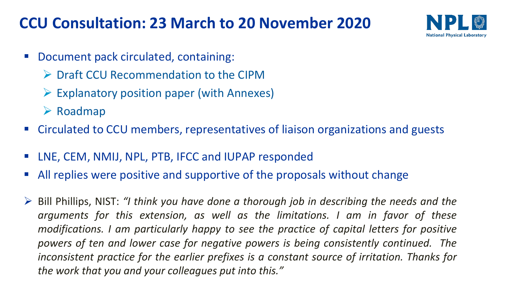## **CCU Consultation: 23 March to 20 November 2020**



- Document pack circulated, containing:
	- ➢ Draft CCU Recommendation to the CIPM
	- $\triangleright$  Explanatory position paper (with Annexes)
	- ➢ Roadmap
- Circulated to CCU members, representatives of liaison organizations and guests
- LNE, CEM, NMIJ, NPL, PTB, IFCC and IUPAP responded
- All replies were positive and supportive of the proposals without change
- ➢ Bill Phillips, NIST: *"I think you have done a thorough job in describing the needs and the arguments for this extension, as well as the limitations. I am in favor of these modifications. I am particularly happy to see the practice of capital letters for positive powers of ten and lower case for negative powers is being consistently continued. The inconsistent practice for the earlier prefixes is a constant source of irritation. Thanks for the work that you and your colleagues put into this."*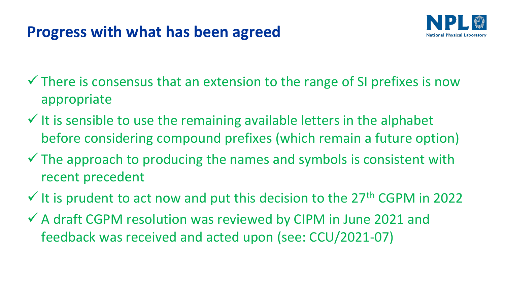## **Progress with what has been agreed**



- $\checkmark$  There is consensus that an extension to the range of SI prefixes is now appropriate
- $\checkmark$  It is sensible to use the remaining available letters in the alphabet before considering compound prefixes (which remain a future option)
- $\checkmark$  The approach to producing the names and symbols is consistent with recent precedent
- $\checkmark$  It is prudent to act now and put this decision to the 27<sup>th</sup> CGPM in 2022
- ✓ A draft CGPM resolution was reviewed by CIPM in June 2021 and feedback was received and acted upon (see: CCU/2021-07)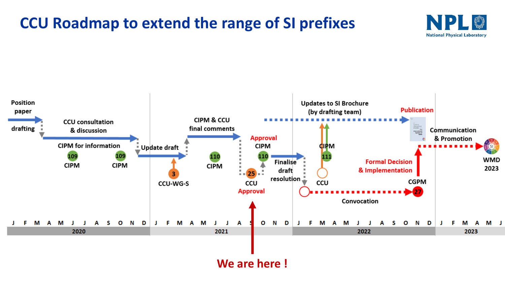#### **CCU Roadmap to extend the range of SI prefixes**